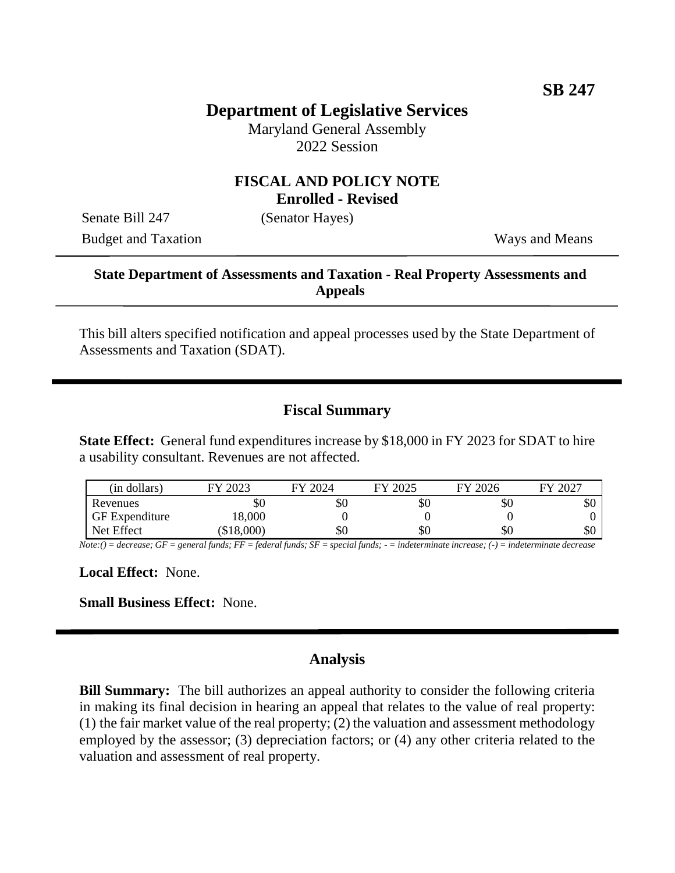# **Department of Legislative Services**

Maryland General Assembly 2022 Session

#### **FISCAL AND POLICY NOTE Enrolled - Revised**

Senate Bill 247 (Senator Hayes)

Budget and Taxation Ways and Means

### **State Department of Assessments and Taxation - Real Property Assessments and Appeals**

This bill alters specified notification and appeal processes used by the State Department of Assessments and Taxation (SDAT).

# **Fiscal Summary**

**State Effect:** General fund expenditures increase by \$18,000 in FY 2023 for SDAT to hire a usability consultant. Revenues are not affected.

| (in dollars)          | 2023     | 2024<br>ГV | 2025<br>ГV | FY 2026 | 2027<br>FY |
|-----------------------|----------|------------|------------|---------|------------|
| Revenues              | \$0      | \$0        | \$0        | Y0      | \$0        |
| <b>GF</b> Expenditure | 18,000   |            |            |         |            |
| Net Effect            | \$18,000 | \$0        | \$0        | УU      | \$0        |

*Note:() = decrease; GF = general funds; FF = federal funds; SF = special funds; - = indeterminate increase; (-) = indeterminate decrease*

**Local Effect:** None.

**Small Business Effect:** None.

# **Analysis**

**Bill Summary:** The bill authorizes an appeal authority to consider the following criteria in making its final decision in hearing an appeal that relates to the value of real property: (1) the fair market value of the real property; (2) the valuation and assessment methodology employed by the assessor; (3) depreciation factors; or (4) any other criteria related to the valuation and assessment of real property.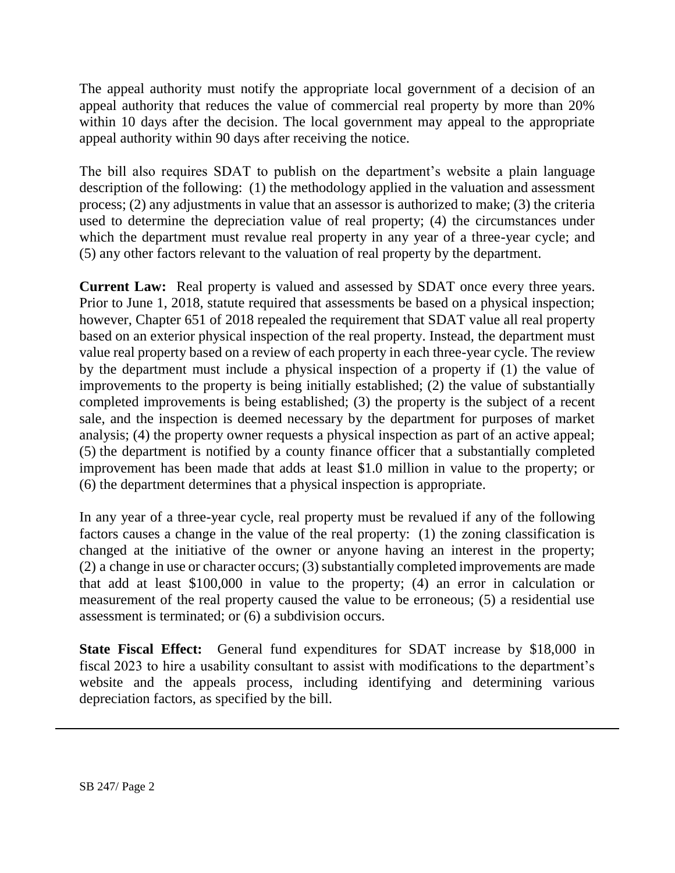The appeal authority must notify the appropriate local government of a decision of an appeal authority that reduces the value of commercial real property by more than 20% within 10 days after the decision. The local government may appeal to the appropriate appeal authority within 90 days after receiving the notice.

The bill also requires SDAT to publish on the department's website a plain language description of the following: (1) the methodology applied in the valuation and assessment process; (2) any adjustments in value that an assessor is authorized to make; (3) the criteria used to determine the depreciation value of real property; (4) the circumstances under which the department must revalue real property in any year of a three-year cycle; and (5) any other factors relevant to the valuation of real property by the department.

**Current Law:** Real property is valued and assessed by SDAT once every three years. Prior to June 1, 2018, statute required that assessments be based on a physical inspection; however, Chapter 651 of 2018 repealed the requirement that SDAT value all real property based on an exterior physical inspection of the real property. Instead, the department must value real property based on a review of each property in each three-year cycle. The review by the department must include a physical inspection of a property if (1) the value of improvements to the property is being initially established; (2) the value of substantially completed improvements is being established; (3) the property is the subject of a recent sale, and the inspection is deemed necessary by the department for purposes of market analysis; (4) the property owner requests a physical inspection as part of an active appeal; (5) the department is notified by a county finance officer that a substantially completed improvement has been made that adds at least \$1.0 million in value to the property; or (6) the department determines that a physical inspection is appropriate.

In any year of a three-year cycle, real property must be revalued if any of the following factors causes a change in the value of the real property: (1) the zoning classification is changed at the initiative of the owner or anyone having an interest in the property; (2) a change in use or character occurs; (3) substantially completed improvements are made that add at least \$100,000 in value to the property; (4) an error in calculation or measurement of the real property caused the value to be erroneous; (5) a residential use assessment is terminated; or (6) a subdivision occurs.

**State Fiscal Effect:** General fund expenditures for SDAT increase by \$18,000 in fiscal 2023 to hire a usability consultant to assist with modifications to the department's website and the appeals process, including identifying and determining various depreciation factors, as specified by the bill.